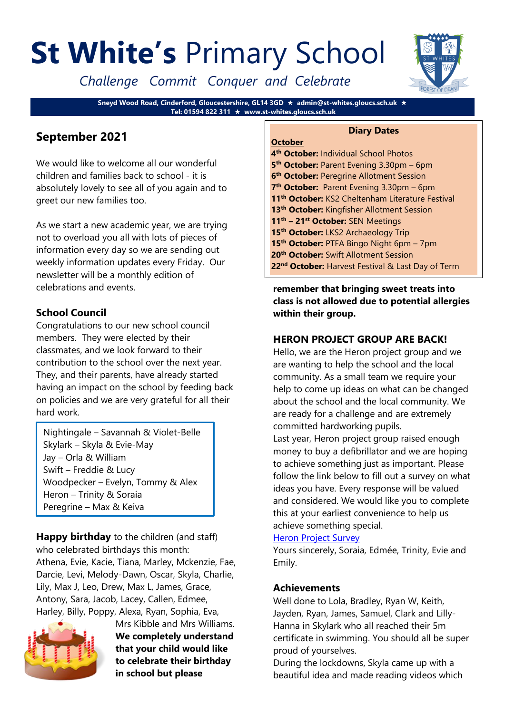# **St White's** Primary School

*Challenge Commit Conquer and Celebrate*

**Sneyd Wood Road, Cinderford, Gloucestershire, GL14 3GD admin@st-whites.gloucs.sch.uk Tel: 01594 822 311 www.st-whites.gloucs.sch.uk**

# **September 2021**

We would like to welcome all our wonderful children and families back to school - it is absolutely lovely to see all of you again and to greet our new families too.

As we start a new academic year, we are trying not to overload you all with lots of pieces of information every day so we are sending out weekly information updates every Friday. Our newsletter will be a monthly edition of celebrations and events.

# **School Council**

Congratulations to our new school council members. They were elected by their classmates, and we look forward to their contribution to the school over the next year. They, and their parents, have already started having an impact on the school by feeding back on policies and we are very grateful for all their hard work.

Nightingale – Savannah & Violet-Belle Skylark – Skyla & Evie-May Jay – Orla & William Swift – Freddie & Lucy Woodpecker – Evelyn, Tommy & Alex Heron – Trinity & Soraia Peregrine – Max & Keiva

**Happy birthday** to the children (and staff) who celebrated birthdays this month: Athena, Evie, Kacie, Tiana, Marley, Mckenzie, Fae, Darcie, Levi, Melody-Dawn, Oscar, Skyla, Charlie, Lily, Max J, Leo, Drew, Max L, James, Grace, Antony, Sara, Jacob, Lacey, Callen, Edmee, Harley, Billy, Poppy, Alexa, Ryan, Sophia, Eva,



Mrs Kibble and Mrs Williams. **We completely understand that your child would like to celebrate their birthday in school but please** 



#### **Diary Dates**

**October th October:** Individual School Photos **th October:** Parent Evening 3.30pm – 6pm **th October:** Peregrine Allotment Session **th October:** Parent Evening 3.30pm – 6pm **th October:** KS2 Cheltenham Literature Festival **th October:** Kingfisher Allotment Session **th – 21st October:** SEN Meetings **th October:** LKS2 Archaeology Trip **th October:** PTFA Bingo Night 6pm – 7pm **th October:** Swift Allotment Session **nd October:** Harvest Festival & Last Day of Term

**remember that bringing sweet treats into class is not allowed due to potential allergies within their group.** 

## **HERON PROJECT GROUP ARE BACK!**

Hello, we are the Heron project group and we are wanting to help the school and the local community. As a small team we require your help to come up ideas on what can be changed about the school and the local community. We are ready for a challenge and are extremely committed hardworking pupils.

Last year, Heron project group raised enough money to buy a defibrillator and we are hoping to achieve something just as important. Please follow the link below to fill out a survey on what ideas you have. Every response will be valued and considered. We would like you to complete this at your earliest convenience to help us achieve something special.

#### [Heron Project Survey](https://forms.office.com/Pages/ResponsePage.aspx?id=Fv1c9Cgq3kKoAvqCjQ6MG9f4G7nPesJKhqZbUVEOlzJUNjBEQlBZUEJPTUJOS0xWNVRKNVY1UU1JVy4u)

Yours sincerely, Soraia, Edmée, Trinity, Evie and Emily.

#### **Achievements**

Well done to Lola, Bradley, Ryan W, Keith, Jayden, Ryan, James, Samuel, Clark and Lilly-Hanna in Skylark who all reached their 5m certificate in swimming. You should all be super proud of yourselves.

During the lockdowns, Skyla came up with a beautiful idea and made reading videos which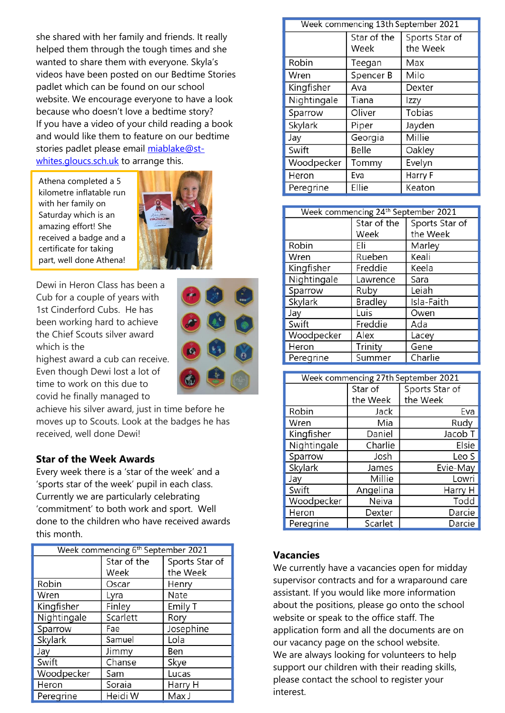she shared with her family and friends. It really helped them through the tough times and she wanted to share them with everyone. Skyla's videos have been posted on our Bedtime Stories padlet which can be found on our school website. We encourage everyone to have a look because who doesn't love a bedtime story? If you have a video of your child reading a book and would like them to feature on our bedtime stories padlet please email [miablake@st](mailto:miablake@st-whites.gloucs.sch.uk)[whites.gloucs.sch.uk](mailto:miablake@st-whites.gloucs.sch.uk) to arrange this.

Athena completed a 5 kilometre inflatable run with her family on Saturday which is an amazing effort! She received a badge and a certificate for taking part, well done Athena!



Dewi in Heron Class has been a Cub for a couple of years with 1st Cinderford Cubs. He has been working hard to achieve the Chief Scouts silver award which is the

highest award a cub can receive. Even though Dewi lost a lot of time to work on this due to covid he finally managed to

achieve his silver award, just in time before he moves up to Scouts. Look at the badges he has received, well done Dewi!

#### **Star of the Week Awards**

Every week there is a 'star of the week' and a 'sports star of the week' pupil in each class. Currently we are particularly celebrating 'commitment' to both work and sport. Well done to the children who have received awards this month.

| Week commencing 6 <sup>th</sup> September 2021 |             |                |  |
|------------------------------------------------|-------------|----------------|--|
|                                                | Star of the | Sports Star of |  |
|                                                | Week        | the Week       |  |
| Robin                                          | Oscar       | Henry          |  |
| Wren                                           | Lyra        | Nate           |  |
| Kingfisher                                     | Finley      | Emily T        |  |
| Nightingale                                    | Scarlett    | Rory           |  |
| Sparrow                                        | Fae         | Josephine      |  |
| Skylark                                        | Samuel      | Lola           |  |
| Jay                                            | Jimmy       | Ben            |  |
| Swift                                          | Chanse      | Skye           |  |
| Woodpecker                                     | Sam         | Lucas          |  |
| Heron                                          | Soraia      | Harry H        |  |
| Peregrine                                      | Heidi W     | Max J          |  |

| Week commencing 13th September 2021 |                     |                            |  |  |
|-------------------------------------|---------------------|----------------------------|--|--|
|                                     | Star of the<br>Week | Sports Star of<br>the Week |  |  |
| Robin                               | Teegan              | Max                        |  |  |
| Wren                                | Spencer B           | Milo                       |  |  |
| Kingfisher                          | Ava                 | Dexter                     |  |  |
| Nightingale                         | Tiana               | Izzy                       |  |  |
| Sparrow                             | Oliver              | Tobias                     |  |  |
| Skylark                             | Piper               | Jayden                     |  |  |
| Jay                                 | Georgia             | Millie                     |  |  |
| Swift                               | Belle               | Oakley                     |  |  |
| Woodpecker                          | Tommy               | Evelyn                     |  |  |
| Heron                               | Eva                 | Harry F                    |  |  |
| Peregrine                           | Ellie               | Keaton                     |  |  |

| Week commencing 24 <sup>th</sup> September 2021 |                |                |  |
|-------------------------------------------------|----------------|----------------|--|
|                                                 | Star of the    | Sports Star of |  |
|                                                 | Week           | the Week       |  |
| Robin                                           | Eli            | Marley         |  |
| Wren                                            | Rueben         | Keali          |  |
| Kingfisher                                      | Freddie        | Keela          |  |
| Nightingale                                     | Lawrence       | Sara           |  |
| Sparrow                                         | Ruby           | Leiah          |  |
| Skylark                                         | <b>Bradley</b> | Isla-Faith     |  |
| Jay                                             | Luis           | Owen           |  |
| Swift                                           | Freddie        | Ada            |  |
| Woodpecker                                      | Alex           | Lacey          |  |
| Heron                                           | Trinity        | Gene           |  |
| Peregrine                                       | Summer         | Charlie        |  |

| Week commencing 27th September 2021 |          |                |  |
|-------------------------------------|----------|----------------|--|
|                                     | Star of  | Sports Star of |  |
|                                     | the Week | the Week       |  |
| Robin                               | Jack     | Eva            |  |
| Wren                                | Mia      | Rudy           |  |
| Kingfisher                          | Daniel   | Jacob T        |  |
| Nightingale                         | Charlie  | Elsie          |  |
| Sparrow                             | Josh     | Leo S          |  |
| Skylark                             | James    | Evie-May       |  |
| Jay                                 | Millie   | Lowri          |  |
| Swift                               | Angelina | Harry H        |  |
| Woodpecker                          | Neiva    | Todd           |  |
| Heron                               | Dexter   | Darcie         |  |
| Peregrine                           | Scarlet  | Darcie         |  |

#### **Vacancies**

We currently have a vacancies open for midday supervisor contracts and for a wraparound care assistant. If you would like more information about the positions, please go onto the school website or speak to the office staff. The application form and all the documents are on our vacancy page on the school website. We are always looking for volunteers to help support our children with their reading skills, please contact the school to register your interest.

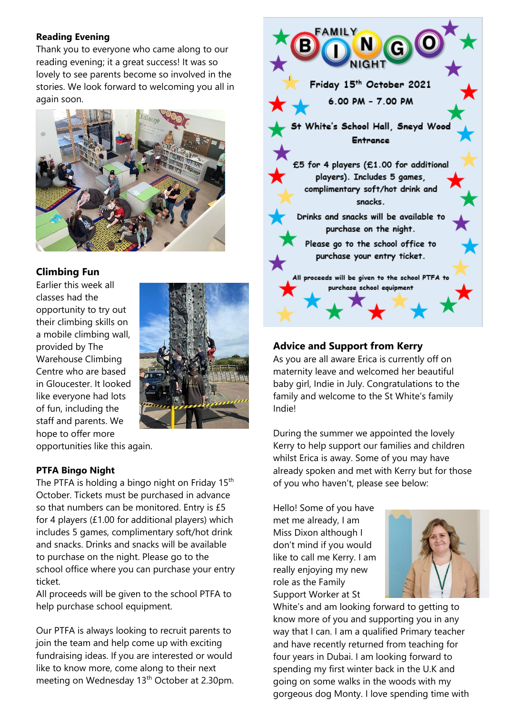#### **Reading Evening**

Thank you to everyone who came along to our reading evening; it a great success! It was so lovely to see parents become so involved in the stories. We look forward to welcoming you all in again soon.



### **Climbing Fun**

Earlier this week all classes had the opportunity to try out their climbing skills on a mobile climbing wall, provided by The Warehouse Climbing Centre who are based in Gloucester. It looked like everyone had lots of fun, including the staff and parents. We hope to offer more



opportunities like this again.

#### **PTFA Bingo Night**

The PTFA is holding a bingo night on Friday 15<sup>th</sup> October. Tickets must be purchased in advance so that numbers can be monitored. Entry is £5 for 4 players (£1.00 for additional players) which includes 5 games, complimentary soft/hot drink and snacks. Drinks and snacks will be available to purchase on the night. Please go to the school office where you can purchase your entry ticket.

All proceeds will be given to the school PTFA to help purchase school equipment.

Our PTFA is always looking to recruit parents to join the team and help come up with exciting fundraising ideas. If you are interested or would like to know more, come along to their next meeting on Wednesday 13<sup>th</sup> October at 2.30pm.



## **Advice and Support from Kerry**

As you are all aware Erica is currently off on maternity leave and welcomed her beautiful baby girl, Indie in July. Congratulations to the family and welcome to the St White's family Indie!

During the summer we appointed the lovely Kerry to help support our families and children whilst Erica is away. Some of you may have already spoken and met with Kerry but for those of you who haven't, please see below:

Hello! Some of you have met me already, I am Miss Dixon although I don't mind if you would like to call me Kerry. I am really enjoying my new role as the Family Support Worker at St



White's and am looking forward to getting to know more of you and supporting you in any way that I can. I am a qualified Primary teacher and have recently returned from teaching for four years in Dubai. I am looking forward to spending my first winter back in the U.K and going on some walks in the woods with my gorgeous dog Monty. I love spending time with